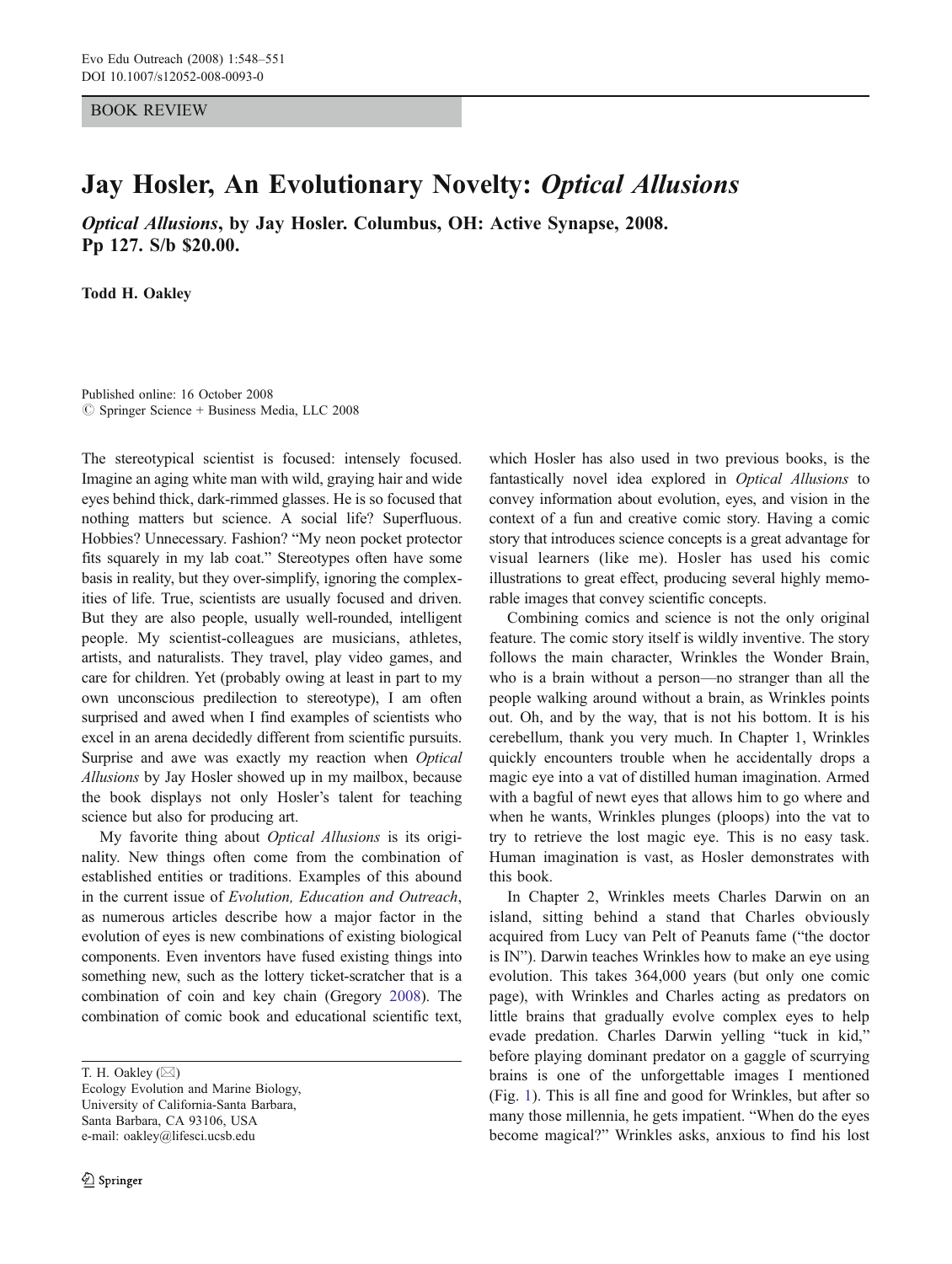BOOK REVIEW

## Jay Hosler, An Evolutionary Novelty: Optical Allusions

Optical Allusions, by Jay Hosler. Columbus, OH: Active Synapse, 2008. Pp 127. S/b \$20.00.

Todd H. Oakley

Published online: 16 October 2008  $\oslash$  Springer Science + Business Media, LLC 2008

The stereotypical scientist is focused: intensely focused. Imagine an aging white man with wild, graying hair and wide eyes behind thick, dark-rimmed glasses. He is so focused that nothing matters but science. A social life? Superfluous. Hobbies? Unnecessary. Fashion? "My neon pocket protector fits squarely in my lab coat." Stereotypes often have some basis in reality, but they over-simplify, ignoring the complexities of life. True, scientists are usually focused and driven. But they are also people, usually well-rounded, intelligent people. My scientist-colleagues are musicians, athletes, artists, and naturalists. They travel, play video games, and care for children. Yet (probably owing at least in part to my own unconscious predilection to stereotype), I am often surprised and awed when I find examples of scientists who excel in an arena decidedly different from scientific pursuits. Surprise and awe was exactly my reaction when Optical Allusions by Jay Hosler showed up in my mailbox, because the book displays not only Hosler's talent for teaching science but also for producing art.

My favorite thing about Optical Allusions is its originality. New things often come from the combination of established entities or traditions. Examples of this abound in the current issue of Evolution, Education and Outreach, as numerous articles describe how a major factor in the evolution of eyes is new combinations of existing biological components. Even inventors have fused existing things into something new, such as the lottery ticket-scratcher that is a combination of coin and key chain (Gregory [2008](#page-3-0)). The combination of comic book and educational scientific text,

T. H. Oakley (*\**)

Ecology Evolution and Marine Biology, University of California-Santa Barbara, Santa Barbara, CA 93106, USA e-mail: oakley@lifesci.ucsb.edu

which Hosler has also used in two previous books, is the fantastically novel idea explored in Optical Allusions to convey information about evolution, eyes, and vision in the context of a fun and creative comic story. Having a comic story that introduces science concepts is a great advantage for visual learners (like me). Hosler has used his comic illustrations to great effect, producing several highly memorable images that convey scientific concepts.

Combining comics and science is not the only original feature. The comic story itself is wildly inventive. The story follows the main character, Wrinkles the Wonder Brain, who is a brain without a person—no stranger than all the people walking around without a brain, as Wrinkles points out. Oh, and by the way, that is not his bottom. It is his cerebellum, thank you very much. In Chapter 1, Wrinkles quickly encounters trouble when he accidentally drops a magic eye into a vat of distilled human imagination. Armed with a bagful of newt eyes that allows him to go where and when he wants, Wrinkles plunges (ploops) into the vat to try to retrieve the lost magic eye. This is no easy task. Human imagination is vast, as Hosler demonstrates with this book.

In Chapter 2, Wrinkles meets Charles Darwin on an island, sitting behind a stand that Charles obviously acquired from Lucy van Pelt of Peanuts fame ("the doctor is IN"). Darwin teaches Wrinkles how to make an eye using evolution. This takes 364,000 years (but only one comic page), with Wrinkles and Charles acting as predators on little brains that gradually evolve complex eyes to help evade predation. Charles Darwin yelling "tuck in kid," before playing dominant predator on a gaggle of scurrying brains is one of the unforgettable images I mentioned (Fig. [1](#page-1-0)). This is all fine and good for Wrinkles, but after so many those millennia, he gets impatient. "When do the eyes become magical?" Wrinkles asks, anxious to find his lost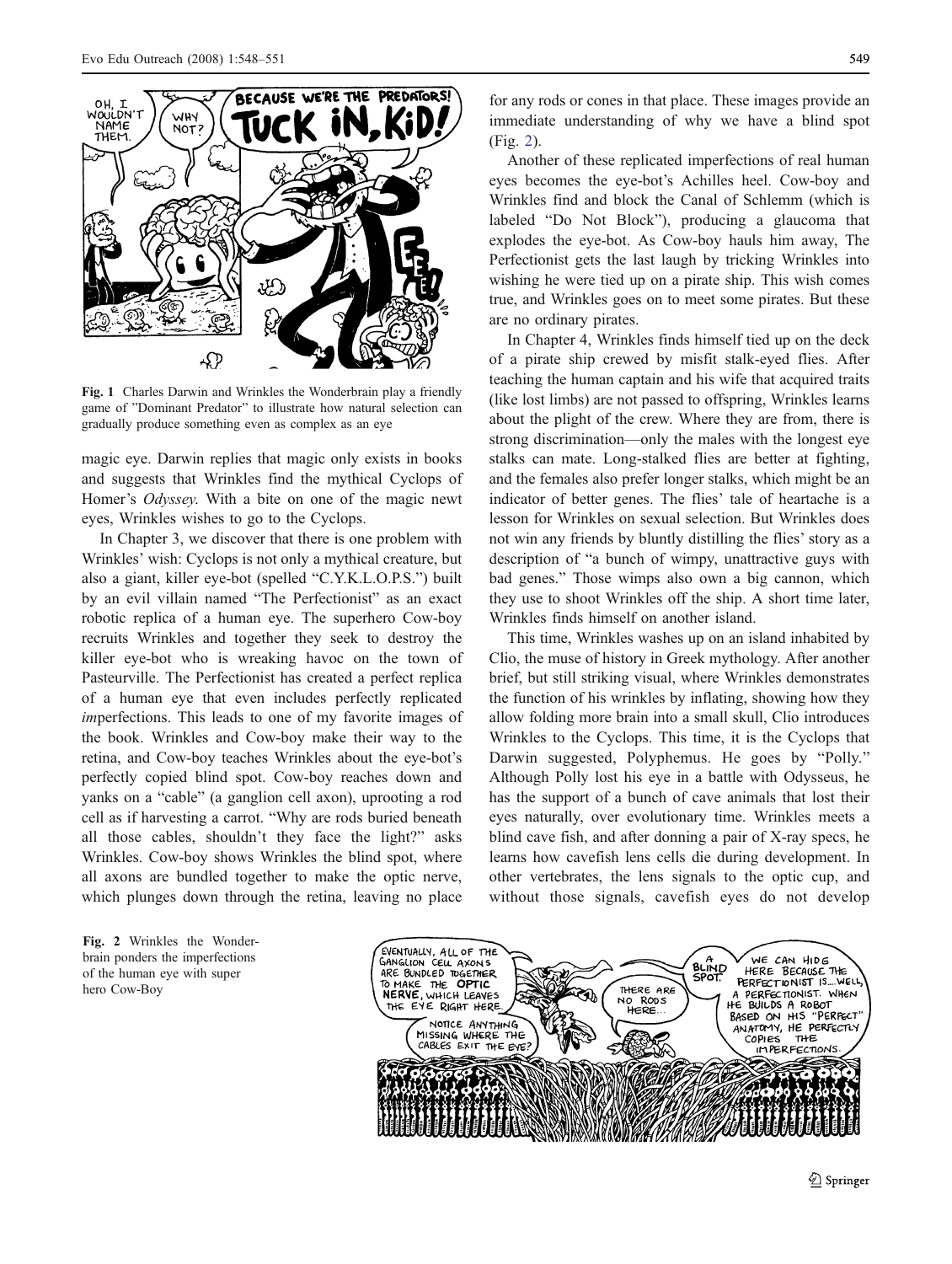<span id="page-1-0"></span>

Fig. 1 Charles Darwin and Wrinkles the Wonderbrain play a friendly game of "Dominant Predator" to illustrate how natural selection can gradually produce something even as complex as an eye

magic eye. Darwin replies that magic only exists in books and suggests that Wrinkles find the mythical Cyclops of Homer's Odyssey. With a bite on one of the magic newt eyes, Wrinkles wishes to go to the Cyclops.

In Chapter 3, we discover that there is one problem with Wrinkles' wish: Cyclops is not only a mythical creature, but also a giant, killer eye-bot (spelled "C.Y.K.L.O.P.S.") built by an evil villain named "The Perfectionist" as an exact robotic replica of a human eye. The superhero Cow-boy recruits Wrinkles and together they seek to destroy the killer eye-bot who is wreaking havoc on the town of Pasteurville. The Perfectionist has created a perfect replica of a human eye that even includes perfectly replicated imperfections. This leads to one of my favorite images of the book. Wrinkles and Cow-boy make their way to the retina, and Cow-boy teaches Wrinkles about the eye-bot's perfectly copied blind spot. Cow-boy reaches down and yanks on a "cable" (a ganglion cell axon), uprooting a rod cell as if harvesting a carrot. "Why are rods buried beneath all those cables, shouldn't they face the light?" asks Wrinkles. Cow-boy shows Wrinkles the blind spot, where all axons are bundled together to make the optic nerve, which plunges down through the retina, leaving no place

for any rods or cones in that place. These images provide an immediate understanding of why we have a blind spot (Fig. 2).

Another of these replicated imperfections of real human eyes becomes the eye-bot's Achilles heel. Cow-boy and Wrinkles find and block the Canal of Schlemm (which is labeled "Do Not Block"), producing a glaucoma that explodes the eye-bot. As Cow-boy hauls him away, The Perfectionist gets the last laugh by tricking Wrinkles into wishing he were tied up on a pirate ship. This wish comes true, and Wrinkles goes on to meet some pirates. But these are no ordinary pirates.

In Chapter 4, Wrinkles finds himself tied up on the deck of a pirate ship crewed by misfit stalk-eyed flies. After teaching the human captain and his wife that acquired traits (like lost limbs) are not passed to offspring, Wrinkles learns about the plight of the crew. Where they are from, there is strong discrimination—only the males with the longest eye stalks can mate. Long-stalked flies are better at fighting, and the females also prefer longer stalks, which might be an indicator of better genes. The flies' tale of heartache is a lesson for Wrinkles on sexual selection. But Wrinkles does not win any friends by bluntly distilling the flies' story as a description of "a bunch of wimpy, unattractive guys with bad genes." Those wimps also own a big cannon, which they use to shoot Wrinkles off the ship. A short time later, Wrinkles finds himself on another island.

This time, Wrinkles washes up on an island inhabited by Clio, the muse of history in Greek mythology. After another brief, but still striking visual, where Wrinkles demonstrates the function of his wrinkles by inflating, showing how they allow folding more brain into a small skull, Clio introduces Wrinkles to the Cyclops. This time, it is the Cyclops that Darwin suggested, Polyphemus. He goes by "Polly." Although Polly lost his eye in a battle with Odysseus, he has the support of a bunch of cave animals that lost their eyes naturally, over evolutionary time. Wrinkles meets a blind cave fish, and after donning a pair of X-ray specs, he learns how cavefish lens cells die during development. In other vertebrates, the lens signals to the optic cup, and without those signals, cavefish eyes do not develop

Fig. 2 Wrinkles the Wonderbrain ponders the imperfections of the human eye with super hero Cow-Boy

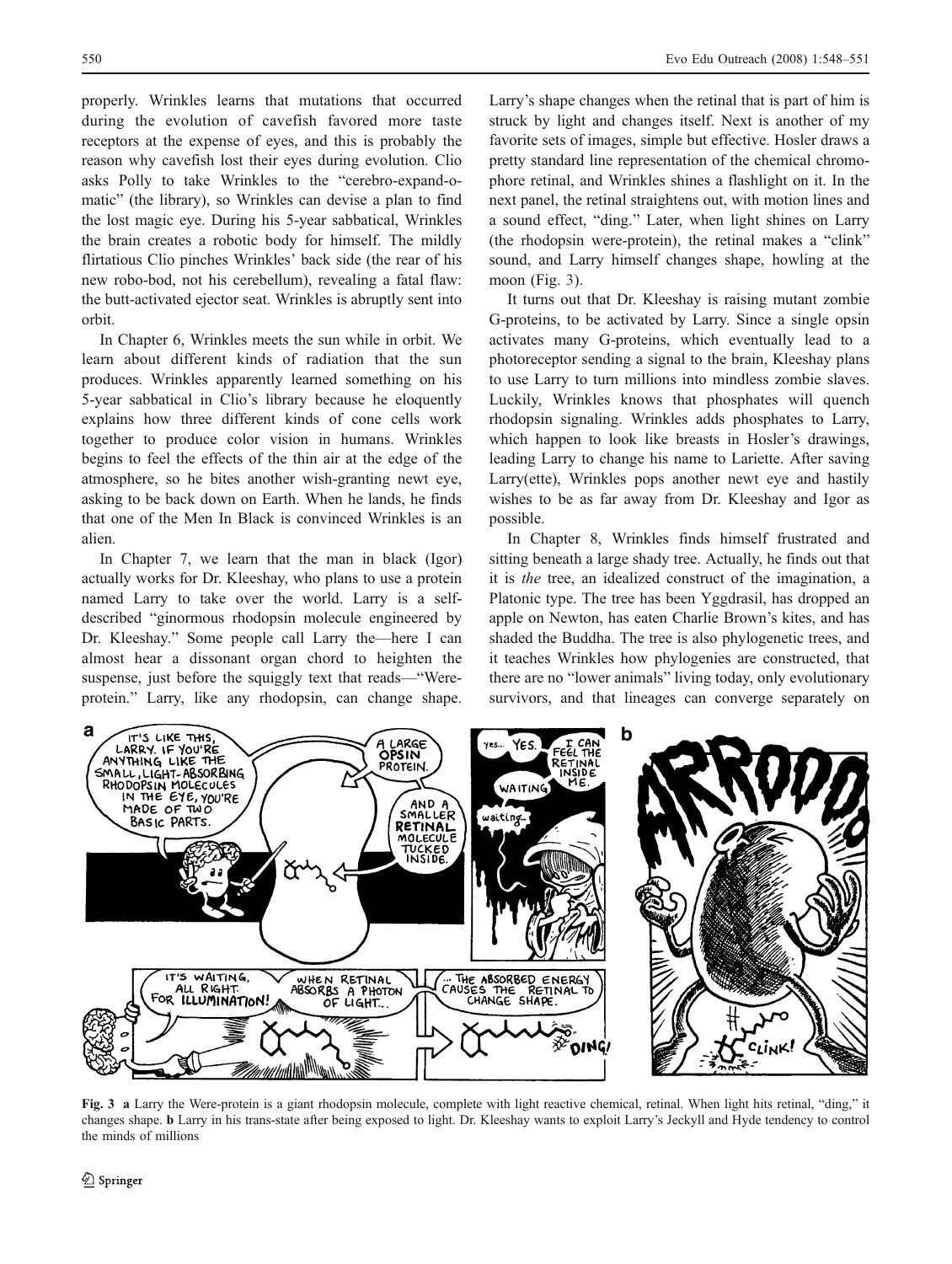properly. Wrinkles learns that mutations that occurred during the evolution of cavefish favored more taste receptors at the expense of eyes, and this is probably the reason why cavefish lost their eyes during evolution. Clio asks Polly to take Wrinkles to the "cerebro-expand-omatic" (the library), so Wrinkles can devise a plan to find the lost magic eye. During his 5-year sabbatical, Wrinkles the brain creates a robotic body for himself. The mildly flirtatious Clio pinches Wrinkles' back side (the rear of his new robo-bod, not his cerebellum), revealing a fatal flaw: the butt-activated ejector seat. Wrinkles is abruptly sent into orbit.

In Chapter 6, Wrinkles meets the sun while in orbit. We learn about different kinds of radiation that the sun produces. Wrinkles apparently learned something on his 5-year sabbatical in Clio's library because he eloquently explains how three different kinds of cone cells work together to produce color vision in humans. Wrinkles begins to feel the effects of the thin air at the edge of the atmosphere, so he bites another wish-granting newt eye, asking to be back down on Earth. When he lands, he finds that one of the Men In Black is convinced Wrinkles is an alien.

In Chapter 7, we learn that the man in black (Igor) actually works for Dr. Kleeshay, who plans to use a protein named Larry to take over the world. Larry is a selfdescribed "ginormous rhodopsin molecule engineered by Dr. Kleeshay." Some people call Larry the—here I can almost hear a dissonant organ chord to heighten the suspense, just before the squiggly text that reads—"Wereprotein." Larry, like any rhodopsin, can change shape. Larry's shape changes when the retinal that is part of him is struck by light and changes itself. Next is another of my favorite sets of images, simple but effective. Hosler draws a pretty standard line representation of the chemical chromophore retinal, and Wrinkles shines a flashlight on it. In the next panel, the retinal straightens out, with motion lines and a sound effect, "ding." Later, when light shines on Larry (the rhodopsin were-protein), the retinal makes a "clink" sound, and Larry himself changes shape, howling at the moon (Fig. 3).

It turns out that Dr. Kleeshay is raising mutant zombie G-proteins, to be activated by Larry. Since a single opsin activates many G-proteins, which eventually lead to a photoreceptor sending a signal to the brain, Kleeshay plans to use Larry to turn millions into mindless zombie slaves. Luckily, Wrinkles knows that phosphates will quench rhodopsin signaling. Wrinkles adds phosphates to Larry, which happen to look like breasts in Hosler's drawings, leading Larry to change his name to Lariette. After saving Larry(ette), Wrinkles pops another newt eye and hastily wishes to be as far away from Dr. Kleeshay and Igor as possible.

In Chapter 8, Wrinkles finds himself frustrated and sitting beneath a large shady tree. Actually, he finds out that it is the tree, an idealized construct of the imagination, a Platonic type. The tree has been Yggdrasil, has dropped an apple on Newton, has eaten Charlie Brown's kites, and has shaded the Buddha. The tree is also phylogenetic trees, and it teaches Wrinkles how phylogenies are constructed, that there are no "lower animals" living today, only evolutionary survivors, and that lineages can converge separately on



Fig. 3 a Larry the Were-protein is a giant rhodopsin molecule, complete with light reactive chemical, retinal. When light hits retinal, "ding," it changes shape. b Larry in his trans-state after being exposed to light. Dr. Kleeshay wants to exploit Larry's Jeckyll and Hyde tendency to control the minds of millions